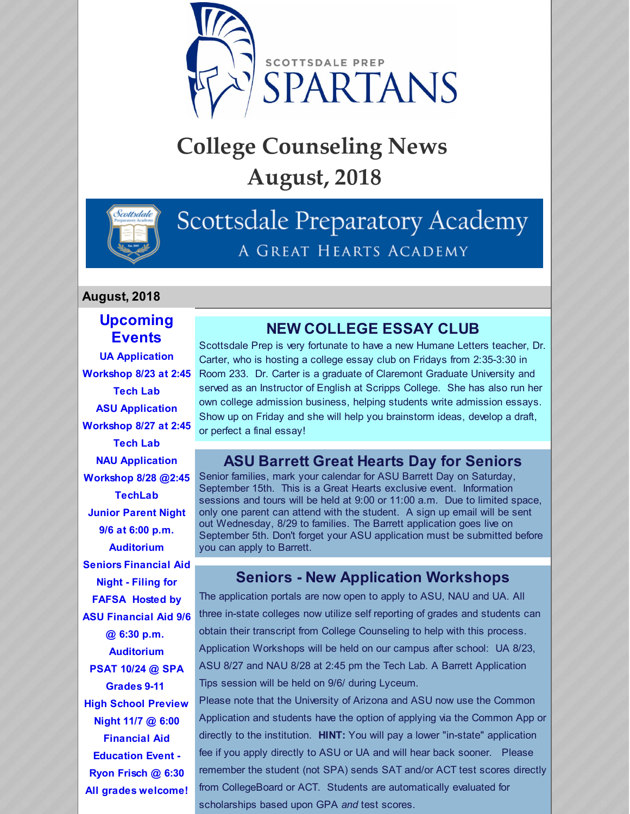

# **College Counseling News August, 2018**



## Scottsdale Preparatory Academy A GREAT HEARTS ACADEMY

#### **August, 2018**

#### **Upcoming Events**

**UA Application Workshop 8/23 at 2:45 Tech Lab ASU Application Workshop 8/27 at 2:45 Tech Lab NAU Application Workshop 8/28 @2:45 TechLab Junior Parent Night 9/6 at 6:00 p.m. Auditorium Seniors Financial Aid Night - Filing for FAFSA Hosted by ASU Financial Aid 9/6 @ 6:30 p.m. Auditorium PSAT 10/24 @ SPA Grades 9-11 High School Preview Night 11/7 @ 6:00 Financial Aid Education Event - Ryon Frisch @ 6:30 All grades welcome!**

#### **NEW COLLEGE ESSAY CLUB**

Scottsdale Prep is very fortunate to have a new Humane Letters teacher, Dr. Carter, who is hosting a college essay club on Fridays from 2:35-3:30 in Room 233. Dr. Carter is a graduate of Claremont Graduate University and served as an Instructor of English at Scripps College. She has also run her own college admission business, helping students write admission essays. Show up on Friday and she will help you brainstorm ideas, develop a draft, or perfect a final essay!

#### **ASU Barrett Great Hearts Day for Seniors**

Senior families, mark your calendar for ASU Barrett Day on Saturday, September 15th. This is a Great Hearts exclusive event. Information sessions and tours will be held at 9:00 or 11:00 a.m. Due to limited space, only one parent can attend with the student. A sign up email will be sent out Wednesday, 8/29 to families. The Barrett application goes live on September 5th. Don't forget your ASU application must be submitted before you can apply to Barrett.

#### **Seniors - New Application Workshops**

The application portals are now open to apply to ASU, NAU and UA. All three in-state colleges now utilize self reporting of grades and students can obtain their transcript from College Counseling to help with this process. Application Workshops will be held on our campus after school: UA 8/23, ASU 8/27 and NAU 8/28 at 2:45 pm the Tech Lab. A Barrett Application Tips session will be held on 9/6/ during Lyceum.

Please note that the University of Arizona and ASU now use the Common Application and students have the option of applying via the Common App or directly to the institution. **HINT:** You will pay a lower "in-state" application fee if you apply directly to ASU or UA and will hear back sooner. Please remember the student (not SPA) sends SAT and/or ACT test scores directly from CollegeBoard or ACT. Students are automatically evaluated for scholarships based upon GPA *and* test scores.